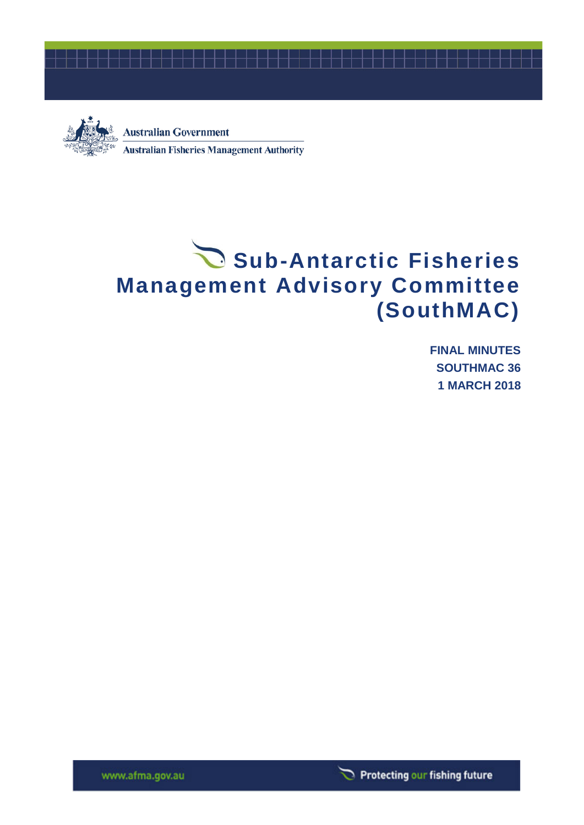



**Australian Government Australian Fisheries Management Authority** 

# Sub-Antarctic Fisheries **Management Advisory Committee (SouthMAC)**

**FINAL MINUTES SOUTHMAC 36 1 MARCH 2018**

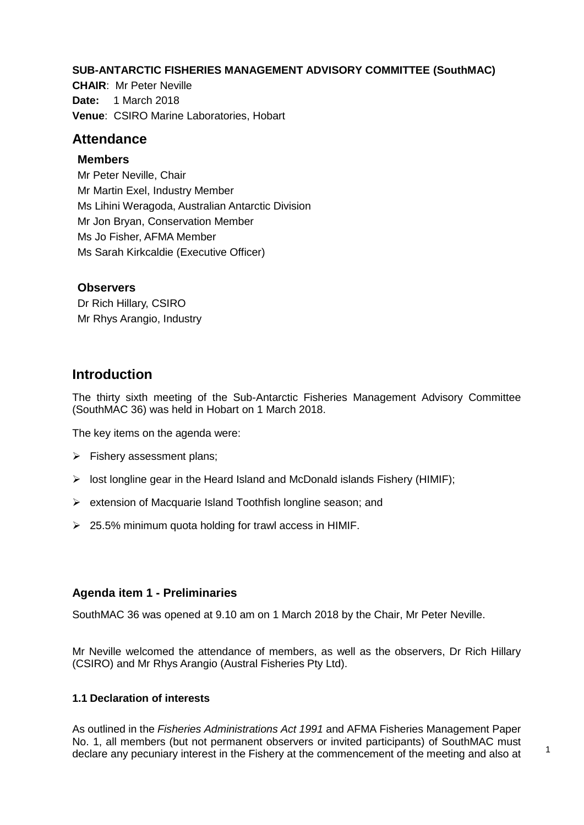#### **SUB-ANTARCTIC FISHERIES MANAGEMENT ADVISORY COMMITTEE (SouthMAC)**

**CHAIR**: Mr Peter Neville **Date:** 1 March 2018 **Venue**: CSIRO Marine Laboratories, Hobart

# **Attendance**

#### **Members**

Mr Peter Neville, Chair Mr Martin Exel, Industry Member Ms Lihini Weragoda, Australian Antarctic Division Mr Jon Bryan, Conservation Member Ms Jo Fisher, AFMA Member Ms Sarah Kirkcaldie (Executive Officer)

#### **Observers**

Dr Rich Hillary, CSIRO Mr Rhys Arangio, Industry

# **Introduction**

The thirty sixth meeting of the Sub-Antarctic Fisheries Management Advisory Committee (SouthMAC 36) was held in Hobart on 1 March 2018.

The key items on the agenda were:

- $\triangleright$  Fishery assessment plans;
- $\triangleright$  lost longline gear in the Heard Island and McDonald islands Fishery (HIMIF);
- $\triangleright$  extension of Macquarie Island Toothfish longline season; and
- $\geq$  25.5% minimum quota holding for trawl access in HIMIF.

# **Agenda item 1 - Preliminaries**

SouthMAC 36 was opened at 9.10 am on 1 March 2018 by the Chair, Mr Peter Neville.

Mr Neville welcomed the attendance of members, as well as the observers, Dr Rich Hillary (CSIRO) and Mr Rhys Arangio (Austral Fisheries Pty Ltd).

#### **1.1 Declaration of interests**

As outlined in the *Fisheries Administrations Act 1991* and AFMA Fisheries Management Paper No. 1, all members (but not permanent observers or invited participants) of SouthMAC must declare any pecuniary interest in the Fishery at the commencement of the meeting and also at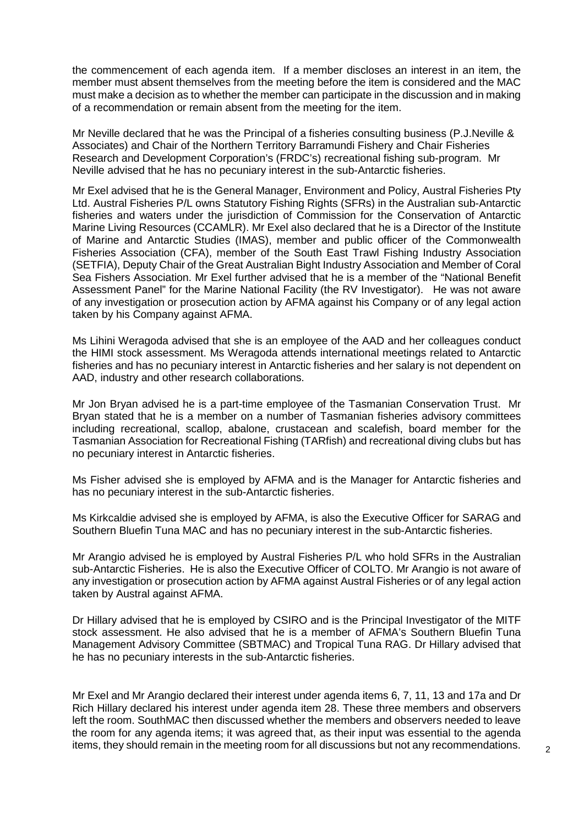the commencement of each agenda item. If a member discloses an interest in an item, the member must absent themselves from the meeting before the item is considered and the MAC must make a decision as to whether the member can participate in the discussion and in making of a recommendation or remain absent from the meeting for the item.

Mr Neville declared that he was the Principal of a fisheries consulting business (P.J.Neville & Associates) and Chair of the Northern Territory Barramundi Fishery and Chair Fisheries Research and Development Corporation's (FRDC's) recreational fishing sub-program. Mr Neville advised that he has no pecuniary interest in the sub-Antarctic fisheries.

Mr Exel advised that he is the General Manager, Environment and Policy, Austral Fisheries Pty Ltd. Austral Fisheries P/L owns Statutory Fishing Rights (SFRs) in the Australian sub-Antarctic fisheries and waters under the jurisdiction of Commission for the Conservation of Antarctic Marine Living Resources (CCAMLR). Mr Exel also declared that he is a Director of the Institute of Marine and Antarctic Studies (IMAS), member and public officer of the Commonwealth Fisheries Association (CFA), member of the South East Trawl Fishing Industry Association (SETFIA), Deputy Chair of the Great Australian Bight Industry Association and Member of Coral Sea Fishers Association. Mr Exel further advised that he is a member of the "National Benefit Assessment Panel" for the Marine National Facility (the RV Investigator). He was not aware of any investigation or prosecution action by AFMA against his Company or of any legal action taken by his Company against AFMA.

Ms Lihini Weragoda advised that she is an employee of the AAD and her colleagues conduct the HIMI stock assessment. Ms Weragoda attends international meetings related to Antarctic fisheries and has no pecuniary interest in Antarctic fisheries and her salary is not dependent on AAD, industry and other research collaborations.

Mr Jon Bryan advised he is a part-time employee of the Tasmanian Conservation Trust. Mr Bryan stated that he is a member on a number of Tasmanian fisheries advisory committees including recreational, scallop, abalone, crustacean and scalefish, board member for the Tasmanian Association for Recreational Fishing (TARfish) and recreational diving clubs but has no pecuniary interest in Antarctic fisheries.

Ms Fisher advised she is employed by AFMA and is the Manager for Antarctic fisheries and has no pecuniary interest in the sub-Antarctic fisheries.

Ms Kirkcaldie advised she is employed by AFMA, is also the Executive Officer for SARAG and Southern Bluefin Tuna MAC and has no pecuniary interest in the sub-Antarctic fisheries.

Mr Arangio advised he is employed by Austral Fisheries P/L who hold SFRs in the Australian sub-Antarctic Fisheries. He is also the Executive Officer of COLTO. Mr Arangio is not aware of any investigation or prosecution action by AFMA against Austral Fisheries or of any legal action taken by Austral against AFMA.

Dr Hillary advised that he is employed by CSIRO and is the Principal Investigator of the MITF stock assessment. He also advised that he is a member of AFMA's Southern Bluefin Tuna Management Advisory Committee (SBTMAC) and Tropical Tuna RAG. Dr Hillary advised that he has no pecuniary interests in the sub-Antarctic fisheries.

Mr Exel and Mr Arangio declared their interest under agenda items 6, 7, 11, 13 and 17a and Dr Rich Hillary declared his interest under agenda item 28. These three members and observers left the room. SouthMAC then discussed whether the members and observers needed to leave the room for any agenda items; it was agreed that, as their input was essential to the agenda items, they should remain in the meeting room for all discussions but not any recommendations.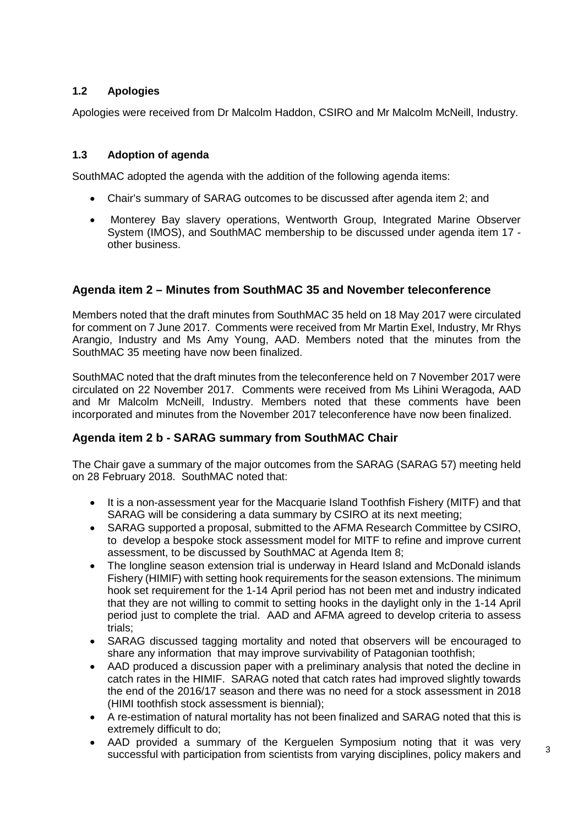# **1.2 Apologies**

Apologies were received from Dr Malcolm Haddon, CSIRO and Mr Malcolm McNeill, Industry.

#### **1.3 Adoption of agenda**

SouthMAC adopted the agenda with the addition of the following agenda items:

- Chair's summary of SARAG outcomes to be discussed after agenda item 2; and
- Monterey Bay slavery operations, Wentworth Group, Integrated Marine Observer System (IMOS), and SouthMAC membership to be discussed under agenda item 17 other business.

# **Agenda item 2 – Minutes from SouthMAC 35 and November teleconference**

Members noted that the draft minutes from SouthMAC 35 held on 18 May 2017 were circulated for comment on 7 June 2017. Comments were received from Mr Martin Exel, Industry, Mr Rhys Arangio, Industry and Ms Amy Young, AAD. Members noted that the minutes from the SouthMAC 35 meeting have now been finalized.

SouthMAC noted that the draft minutes from the teleconference held on 7 November 2017 were circulated on 22 November 2017. Comments were received from Ms Lihini Weragoda, AAD and Mr Malcolm McNeill, Industry. Members noted that these comments have been incorporated and minutes from the November 2017 teleconference have now been finalized.

# **Agenda item 2 b - SARAG summary from SouthMAC Chair**

The Chair gave a summary of the major outcomes from the SARAG (SARAG 57) meeting held on 28 February 2018. SouthMAC noted that:

- It is a non-assessment year for the Macquarie Island Toothfish Fishery (MITF) and that SARAG will be considering a data summary by CSIRO at its next meeting;
- SARAG supported a proposal, submitted to the AFMA Research Committee by CSIRO, to develop a bespoke stock assessment model for MITF to refine and improve current assessment, to be discussed by SouthMAC at Agenda Item 8;
- The longline season extension trial is underway in Heard Island and McDonald islands Fishery (HIMIF) with setting hook requirements for the season extensions. The minimum hook set requirement for the 1-14 April period has not been met and industry indicated that they are not willing to commit to setting hooks in the daylight only in the 1-14 April period just to complete the trial. AAD and AFMA agreed to develop criteria to assess trials;
- SARAG discussed tagging mortality and noted that observers will be encouraged to share any information that may improve survivability of Patagonian toothfish;
- AAD produced a discussion paper with a preliminary analysis that noted the decline in catch rates in the HIMIF. SARAG noted that catch rates had improved slightly towards the end of the 2016/17 season and there was no need for a stock assessment in 2018 (HIMI toothfish stock assessment is biennial);
- A re-estimation of natural mortality has not been finalized and SARAG noted that this is extremely difficult to do;
- AAD provided a summary of the Kerguelen Symposium noting that it was very successful with participation from scientists from varying disciplines, policy makers and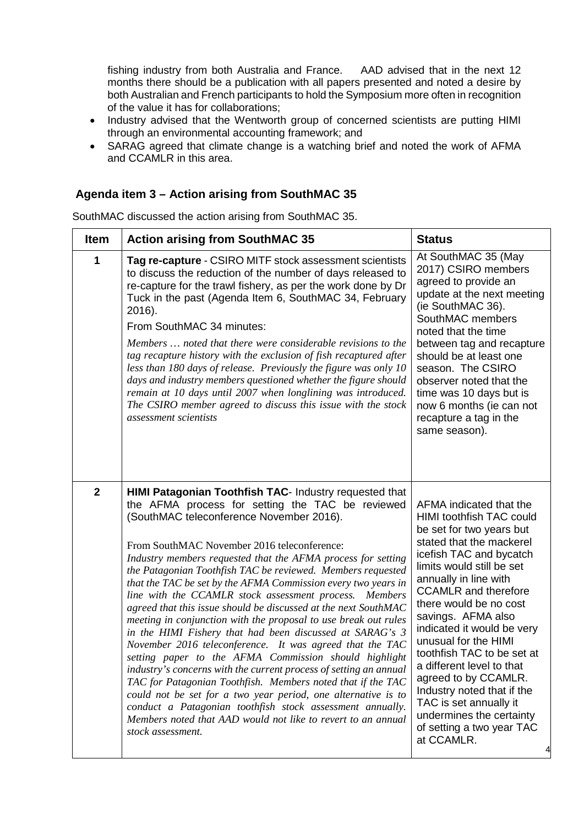fishing industry from both Australia and France. AAD advised that in the next 12 months there should be a publication with all papers presented and noted a desire by both Australian and French participants to hold the Symposium more often in recognition of the value it has for collaborations;

- Industry advised that the Wentworth group of concerned scientists are putting HIMI through an environmental accounting framework; and
- SARAG agreed that climate change is a watching brief and noted the work of AFMA and CCAMLR in this area.

# **Agenda item 3 – Action arising from SouthMAC 35**

SouthMAC discussed the action arising from SouthMAC 35.

| <b>Item</b>  | <b>Action arising from SouthMAC 35</b>                                                                                                                                                                                                                                                                                                                                                                                                                                                                                                                                                                                                                                                                                                                                                                                                                                                                                                                                                                                                                                                                                                                  | <b>Status</b>                                                                                                                                                                                                                                                                                                                                                                                                                                                                                                                                       |
|--------------|---------------------------------------------------------------------------------------------------------------------------------------------------------------------------------------------------------------------------------------------------------------------------------------------------------------------------------------------------------------------------------------------------------------------------------------------------------------------------------------------------------------------------------------------------------------------------------------------------------------------------------------------------------------------------------------------------------------------------------------------------------------------------------------------------------------------------------------------------------------------------------------------------------------------------------------------------------------------------------------------------------------------------------------------------------------------------------------------------------------------------------------------------------|-----------------------------------------------------------------------------------------------------------------------------------------------------------------------------------------------------------------------------------------------------------------------------------------------------------------------------------------------------------------------------------------------------------------------------------------------------------------------------------------------------------------------------------------------------|
| 1            | Tag re-capture - CSIRO MITF stock assessment scientists<br>to discuss the reduction of the number of days released to<br>re-capture for the trawl fishery, as per the work done by Dr<br>Tuck in the past (Agenda Item 6, SouthMAC 34, February<br>2016).<br>From SouthMAC 34 minutes:<br>Members  noted that there were considerable revisions to the<br>tag recapture history with the exclusion of fish recaptured after<br>less than 180 days of release. Previously the figure was only 10<br>days and industry members questioned whether the figure should<br>remain at 10 days until 2007 when longlining was introduced.<br>The CSIRO member agreed to discuss this issue with the stock<br>assessment scientists                                                                                                                                                                                                                                                                                                                                                                                                                              | At SouthMAC 35 (May<br>2017) CSIRO members<br>agreed to provide an<br>update at the next meeting<br>(ie SouthMAC 36).<br>SouthMAC members<br>noted that the time<br>between tag and recapture<br>should be at least one<br>season. The CSIRO<br>observer noted that the<br>time was 10 days but is<br>now 6 months (ie can not<br>recapture a tag in the<br>same season).                                                                                                                                                                           |
| $\mathbf{2}$ | HIMI Patagonian Toothfish TAC- Industry requested that<br>the AFMA process for setting the TAC be reviewed<br>(SouthMAC teleconference November 2016).<br>From SouthMAC November 2016 teleconference:<br>Industry members requested that the AFMA process for setting<br>the Patagonian Toothfish TAC be reviewed. Members requested<br>that the TAC be set by the AFMA Commission every two years in<br>line with the CCAMLR stock assessment process.<br><i>Members</i><br>agreed that this issue should be discussed at the next SouthMAC<br>meeting in conjunction with the proposal to use break out rules<br>in the HIMI Fishery that had been discussed at SARAG's 3<br>November 2016 teleconference. It was agreed that the TAC<br>setting paper to the AFMA Commission should highlight<br>industry's concerns with the current process of setting an annual<br>TAC for Patagonian Toothfish. Members noted that if the TAC<br>could not be set for a two year period, one alternative is to<br>conduct a Patagonian toothfish stock assessment annually.<br>Members noted that AAD would not like to revert to an annual<br>stock assessment. | AFMA indicated that the<br>HIMI toothfish TAC could<br>be set for two years but<br>stated that the mackerel<br>icefish TAC and bycatch<br>limits would still be set<br>annually in line with<br><b>CCAMLR</b> and therefore<br>there would be no cost<br>savings. AFMA also<br>indicated it would be very<br>unusual for the HIMI<br>toothfish TAC to be set at<br>a different level to that<br>agreed to by CCAMLR.<br>Industry noted that if the<br>TAC is set annually it<br>undermines the certainty<br>of setting a two year TAC<br>at CCAMLR. |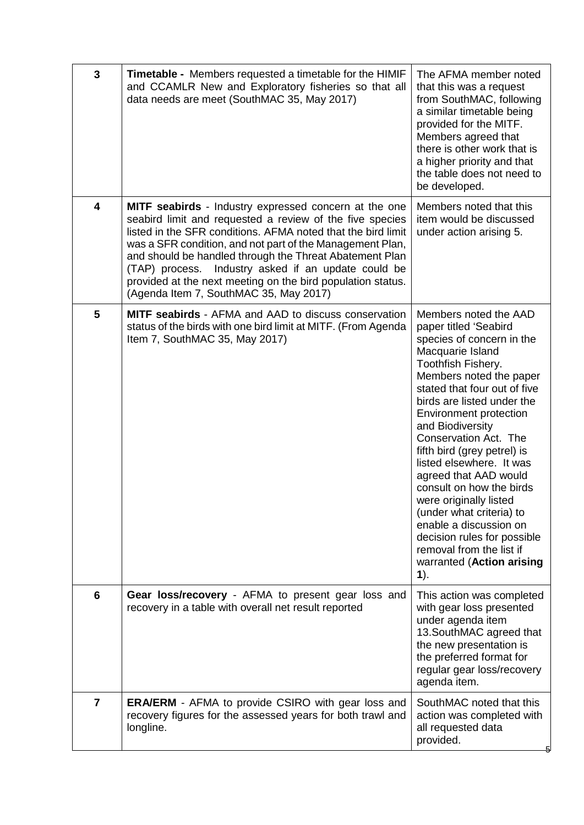| $\mathbf{3}$    | Timetable - Members requested a timetable for the HIMIF<br>and CCAMLR New and Exploratory fisheries so that all<br>data needs are meet (SouthMAC 35, May 2017)                                                                                                                                                                                                                                                                                                                   | The AFMA member noted<br>that this was a request<br>from SouthMAC, following<br>a similar timetable being<br>provided for the MITF.<br>Members agreed that<br>there is other work that is<br>a higher priority and that<br>the table does not need to<br>be developed.                                                                                                                                                                                                                                                                                                               |
|-----------------|----------------------------------------------------------------------------------------------------------------------------------------------------------------------------------------------------------------------------------------------------------------------------------------------------------------------------------------------------------------------------------------------------------------------------------------------------------------------------------|--------------------------------------------------------------------------------------------------------------------------------------------------------------------------------------------------------------------------------------------------------------------------------------------------------------------------------------------------------------------------------------------------------------------------------------------------------------------------------------------------------------------------------------------------------------------------------------|
| 4               | <b>MITF seabirds</b> - Industry expressed concern at the one<br>seabird limit and requested a review of the five species<br>listed in the SFR conditions. AFMA noted that the bird limit<br>was a SFR condition, and not part of the Management Plan,<br>and should be handled through the Threat Abatement Plan<br>(TAP) process. Industry asked if an update could be<br>provided at the next meeting on the bird population status.<br>(Agenda Item 7, SouthMAC 35, May 2017) | Members noted that this<br>item would be discussed<br>under action arising 5.                                                                                                                                                                                                                                                                                                                                                                                                                                                                                                        |
| $5\phantom{.0}$ | <b>MITF seabirds</b> - AFMA and AAD to discuss conservation<br>status of the birds with one bird limit at MITF. (From Agenda<br>Item 7, SouthMAC 35, May 2017)                                                                                                                                                                                                                                                                                                                   | Members noted the AAD<br>paper titled 'Seabird<br>species of concern in the<br>Macquarie Island<br>Toothfish Fishery.<br>Members noted the paper<br>stated that four out of five<br>birds are listed under the<br>Environment protection<br>and Biodiversity<br>Conservation Act. The<br>fifth bird (grey petrel) is<br>listed elsewhere. It was<br>agreed that AAD would<br>consult on how the birds<br>were originally listed<br>(under what criteria) to<br>enable a discussion on<br>decision rules for possible<br>removal from the list if<br>warranted (Action arising<br>1). |
| 6               | Gear loss/recovery - AFMA to present gear loss and<br>recovery in a table with overall net result reported                                                                                                                                                                                                                                                                                                                                                                       | This action was completed<br>with gear loss presented<br>under agenda item<br>13. SouthMAC agreed that<br>the new presentation is<br>the preferred format for<br>regular gear loss/recovery<br>agenda item.                                                                                                                                                                                                                                                                                                                                                                          |
| $\overline{7}$  | <b>ERA/ERM</b> - AFMA to provide CSIRO with gear loss and<br>recovery figures for the assessed years for both trawl and<br>longline.                                                                                                                                                                                                                                                                                                                                             | SouthMAC noted that this<br>action was completed with<br>all requested data<br>provided.                                                                                                                                                                                                                                                                                                                                                                                                                                                                                             |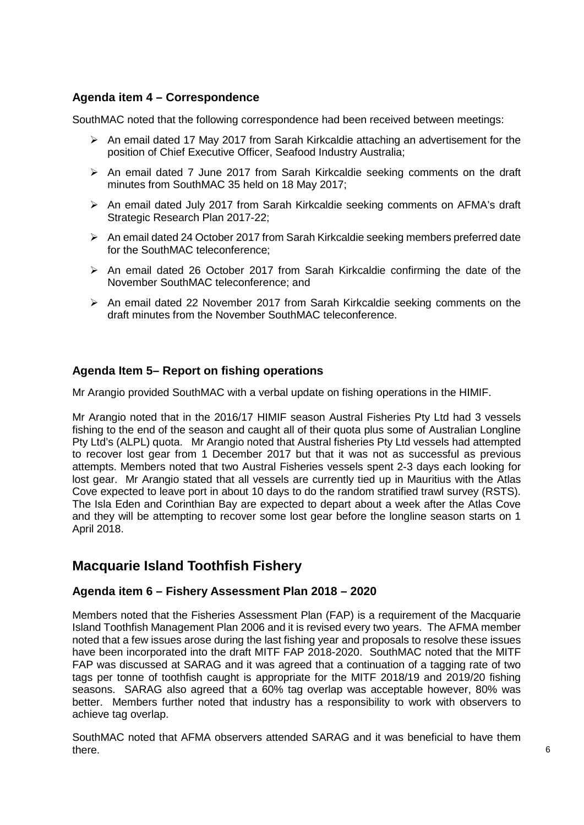# **Agenda item 4 – Correspondence**

SouthMAC noted that the following correspondence had been received between meetings:

- $\triangleright$  An email dated 17 May 2017 from Sarah Kirkcaldie attaching an advertisement for the position of Chief Executive Officer, Seafood Industry Australia;
- $\triangleright$  An email dated 7 June 2017 from Sarah Kirkcaldie seeking comments on the draft minutes from SouthMAC 35 held on 18 May 2017;
- An email dated July 2017 from Sarah Kirkcaldie seeking comments on AFMA's draft Strategic Research Plan 2017-22;
- An email dated 24 October 2017 from Sarah Kirkcaldie seeking members preferred date for the SouthMAC teleconference;
- $\triangleright$  An email dated 26 October 2017 from Sarah Kirkcaldie confirming the date of the November SouthMAC teleconference; and
- $\triangleright$  An email dated 22 November 2017 from Sarah Kirkcaldie seeking comments on the draft minutes from the November SouthMAC teleconference.

# **Agenda Item 5– Report on fishing operations**

Mr Arangio provided SouthMAC with a verbal update on fishing operations in the HIMIF.

Mr Arangio noted that in the 2016/17 HIMIF season Austral Fisheries Pty Ltd had 3 vessels fishing to the end of the season and caught all of their quota plus some of Australian Longline Pty Ltd's (ALPL) quota. Mr Arangio noted that Austral fisheries Pty Ltd vessels had attempted to recover lost gear from 1 December 2017 but that it was not as successful as previous attempts. Members noted that two Austral Fisheries vessels spent 2-3 days each looking for lost gear. Mr Arangio stated that all vessels are currently tied up in Mauritius with the Atlas Cove expected to leave port in about 10 days to do the random stratified trawl survey (RSTS). The Isla Eden and Corinthian Bay are expected to depart about a week after the Atlas Cove and they will be attempting to recover some lost gear before the longline season starts on 1 April 2018.

# **Macquarie Island Toothfish Fishery**

# **Agenda item 6 – Fishery Assessment Plan 2018 – 2020**

Members noted that the Fisheries Assessment Plan (FAP) is a requirement of the Macquarie Island Toothfish Management Plan 2006 and it is revised every two years. The AFMA member noted that a few issues arose during the last fishing year and proposals to resolve these issues have been incorporated into the draft MITF FAP 2018-2020. SouthMAC noted that the MITF FAP was discussed at SARAG and it was agreed that a continuation of a tagging rate of two tags per tonne of toothfish caught is appropriate for the MITF 2018/19 and 2019/20 fishing seasons. SARAG also agreed that a 60% tag overlap was acceptable however, 80% was better. Members further noted that industry has a responsibility to work with observers to achieve tag overlap.

SouthMAC noted that AFMA observers attended SARAG and it was beneficial to have them there.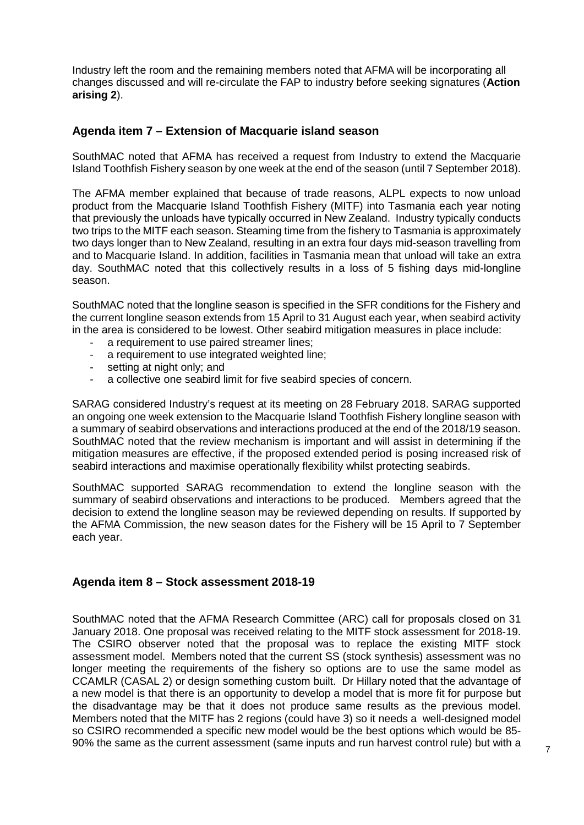Industry left the room and the remaining members noted that AFMA will be incorporating all changes discussed and will re-circulate the FAP to industry before seeking signatures (**Action arising 2**).

## **Agenda item 7 – Extension of Macquarie island season**

SouthMAC noted that AFMA has received a request from Industry to extend the Macquarie Island Toothfish Fishery season by one week at the end of the season (until 7 September 2018).

The AFMA member explained that because of trade reasons, ALPL expects to now unload product from the Macquarie Island Toothfish Fishery (MITF) into Tasmania each year noting that previously the unloads have typically occurred in New Zealand. Industry typically conducts two trips to the MITF each season. Steaming time from the fishery to Tasmania is approximately two days longer than to New Zealand, resulting in an extra four days mid-season travelling from and to Macquarie Island. In addition, facilities in Tasmania mean that unload will take an extra day. SouthMAC noted that this collectively results in a loss of 5 fishing days mid-longline season.

SouthMAC noted that the longline season is specified in the SFR conditions for the Fishery and the current longline season extends from 15 April to 31 August each year, when seabird activity in the area is considered to be lowest. Other seabird mitigation measures in place include:

- a requirement to use paired streamer lines;
- a requirement to use integrated weighted line;
- setting at night only; and
- a collective one seabird limit for five seabird species of concern.

SARAG considered Industry's request at its meeting on 28 February 2018. SARAG supported an ongoing one week extension to the Macquarie Island Toothfish Fishery longline season with a summary of seabird observations and interactions produced at the end of the 2018/19 season. SouthMAC noted that the review mechanism is important and will assist in determining if the mitigation measures are effective, if the proposed extended period is posing increased risk of seabird interactions and maximise operationally flexibility whilst protecting seabirds.

SouthMAC supported SARAG recommendation to extend the longline season with the summary of seabird observations and interactions to be produced. Members agreed that the decision to extend the longline season may be reviewed depending on results. If supported by the AFMA Commission, the new season dates for the Fishery will be 15 April to 7 September each year.

#### **Agenda item 8 – Stock assessment 2018-19**

SouthMAC noted that the AFMA Research Committee (ARC) call for proposals closed on 31 January 2018. One proposal was received relating to the MITF stock assessment for 2018-19. The CSIRO observer noted that the proposal was to replace the existing MITF stock assessment model. Members noted that the current SS (stock synthesis) assessment was no longer meeting the requirements of the fishery so options are to use the same model as CCAMLR (CASAL 2) or design something custom built. Dr Hillary noted that the advantage of a new model is that there is an opportunity to develop a model that is more fit for purpose but the disadvantage may be that it does not produce same results as the previous model. Members noted that the MITF has 2 regions (could have 3) so it needs a well-designed model so CSIRO recommended a specific new model would be the best options which would be 85- 90% the same as the current assessment (same inputs and run harvest control rule) but with a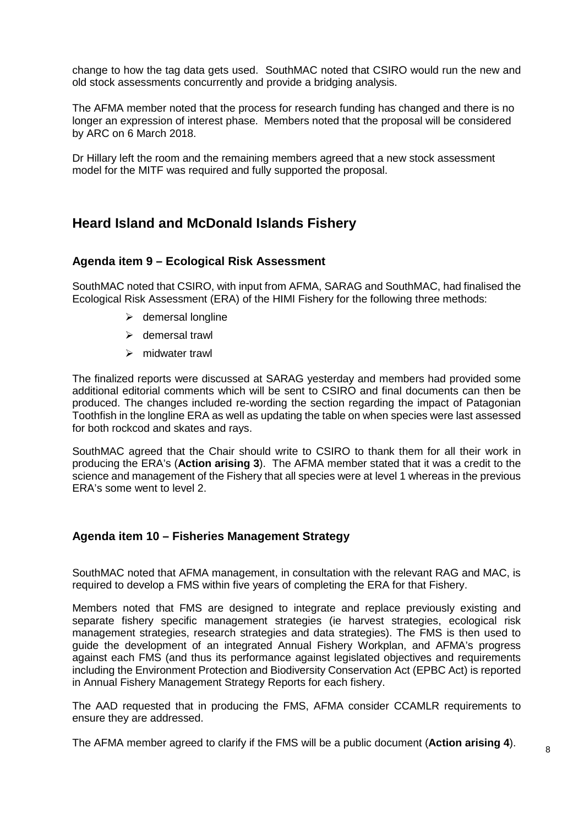change to how the tag data gets used. SouthMAC noted that CSIRO would run the new and old stock assessments concurrently and provide a bridging analysis.

The AFMA member noted that the process for research funding has changed and there is no longer an expression of interest phase. Members noted that the proposal will be considered by ARC on 6 March 2018.

Dr Hillary left the room and the remaining members agreed that a new stock assessment model for the MITF was required and fully supported the proposal.

# **Heard Island and McDonald Islands Fishery**

#### **Agenda item 9 – Ecological Risk Assessment**

SouthMAC noted that CSIRO, with input from AFMA, SARAG and SouthMAC, had finalised the Ecological Risk Assessment (ERA) of the HIMI Fishery for the following three methods:

- $\triangleright$  demersal longline
- $\triangleright$  demersal trawl
- $\triangleright$  midwater trawl

The finalized reports were discussed at SARAG yesterday and members had provided some additional editorial comments which will be sent to CSIRO and final documents can then be produced. The changes included re-wording the section regarding the impact of Patagonian Toothfish in the longline ERA as well as updating the table on when species were last assessed for both rockcod and skates and rays.

SouthMAC agreed that the Chair should write to CSIRO to thank them for all their work in producing the ERA's (**Action arising 3**). The AFMA member stated that it was a credit to the science and management of the Fishery that all species were at level 1 whereas in the previous ERA's some went to level 2.

#### **Agenda item 10 – Fisheries Management Strategy**

SouthMAC noted that AFMA management, in consultation with the relevant RAG and MAC, is required to develop a FMS within five years of completing the ERA for that Fishery.

Members noted that FMS are designed to integrate and replace previously existing and separate fishery specific management strategies (ie harvest strategies, ecological risk management strategies, research strategies and data strategies). The FMS is then used to guide the development of an integrated Annual Fishery Workplan, and AFMA's progress against each FMS (and thus its performance against legislated objectives and requirements including the Environment Protection and Biodiversity Conservation Act (EPBC Act) is reported in Annual Fishery Management Strategy Reports for each fishery.

The AAD requested that in producing the FMS, AFMA consider CCAMLR requirements to ensure they are addressed.

The AFMA member agreed to clarify if the FMS will be a public document (**Action arising 4**).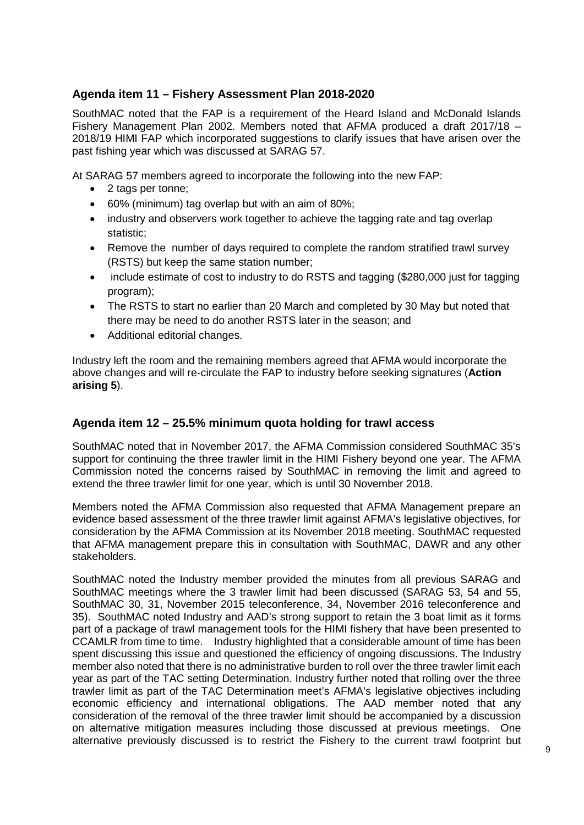# **Agenda item 11 – Fishery Assessment Plan 2018-2020**

SouthMAC noted that the FAP is a requirement of the Heard Island and McDonald Islands Fishery Management Plan 2002. Members noted that AFMA produced a draft 2017/18 – 2018/19 HIMI FAP which incorporated suggestions to clarify issues that have arisen over the past fishing year which was discussed at SARAG 57.

At SARAG 57 members agreed to incorporate the following into the new FAP:

- 2 tags per tonne;
- 60% (minimum) tag overlap but with an aim of 80%;
- industry and observers work together to achieve the tagging rate and tag overlap statistic;
- Remove the number of days required to complete the random stratified trawl survey (RSTS) but keep the same station number;
- include estimate of cost to industry to do RSTS and tagging (\$280,000 just for tagging program);
- The RSTS to start no earlier than 20 March and completed by 30 May but noted that there may be need to do another RSTS later in the season; and
- Additional editorial changes.

Industry left the room and the remaining members agreed that AFMA would incorporate the above changes and will re-circulate the FAP to industry before seeking signatures (**Action arising 5**).

# **Agenda item 12 – 25.5% minimum quota holding for trawl access**

SouthMAC noted that in November 2017, the AFMA Commission considered SouthMAC 35's support for continuing the three trawler limit in the HIMI Fishery beyond one year. The AFMA Commission noted the concerns raised by SouthMAC in removing the limit and agreed to extend the three trawler limit for one year, which is until 30 November 2018.

Members noted the AFMA Commission also requested that AFMA Management prepare an evidence based assessment of the three trawler limit against AFMA's legislative objectives, for consideration by the AFMA Commission at its November 2018 meeting. SouthMAC requested that AFMA management prepare this in consultation with SouthMAC, DAWR and any other stakeholders.

SouthMAC noted the Industry member provided the minutes from all previous SARAG and SouthMAC meetings where the 3 trawler limit had been discussed (SARAG 53, 54 and 55, SouthMAC 30, 31, November 2015 teleconference, 34, November 2016 teleconference and 35). SouthMAC noted Industry and AAD's strong support to retain the 3 boat limit as it forms part of a package of trawl management tools for the HIMI fishery that have been presented to CCAMLR from time to time. Industry highlighted that a considerable amount of time has been spent discussing this issue and questioned the efficiency of ongoing discussions. The Industry member also noted that there is no administrative burden to roll over the three trawler limit each year as part of the TAC setting Determination. Industry further noted that rolling over the three trawler limit as part of the TAC Determination meet's AFMA's legislative objectives including economic efficiency and international obligations. The AAD member noted that any consideration of the removal of the three trawler limit should be accompanied by a discussion on alternative mitigation measures including those discussed at previous meetings. One alternative previously discussed is to restrict the Fishery to the current trawl footprint but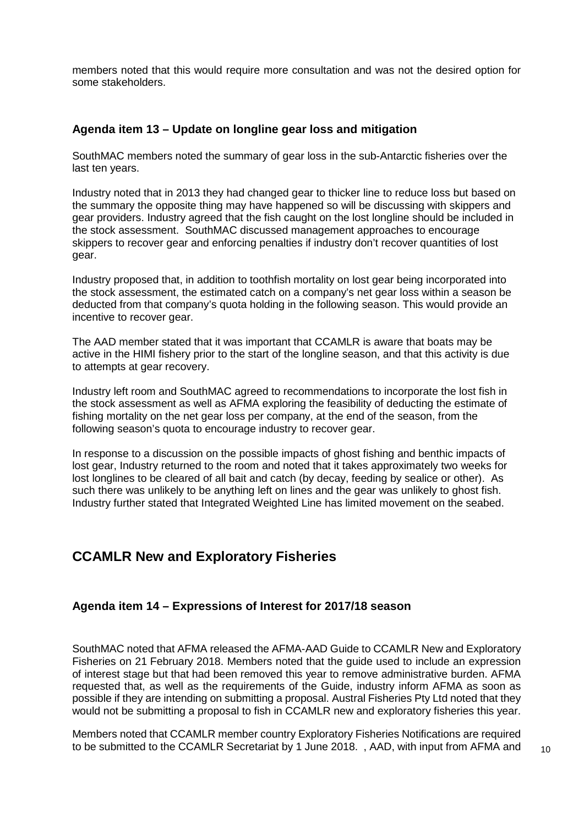members noted that this would require more consultation and was not the desired option for some stakeholders.

#### **Agenda item 13 – Update on longline gear loss and mitigation**

SouthMAC members noted the summary of gear loss in the sub-Antarctic fisheries over the last ten years.

Industry noted that in 2013 they had changed gear to thicker line to reduce loss but based on the summary the opposite thing may have happened so will be discussing with skippers and gear providers. Industry agreed that the fish caught on the lost longline should be included in the stock assessment. SouthMAC discussed management approaches to encourage skippers to recover gear and enforcing penalties if industry don't recover quantities of lost gear.

Industry proposed that, in addition to toothfish mortality on lost gear being incorporated into the stock assessment, the estimated catch on a company's net gear loss within a season be deducted from that company's quota holding in the following season. This would provide an incentive to recover gear.

The AAD member stated that it was important that CCAMLR is aware that boats may be active in the HIMI fishery prior to the start of the longline season, and that this activity is due to attempts at gear recovery.

Industry left room and SouthMAC agreed to recommendations to incorporate the lost fish in the stock assessment as well as AFMA exploring the feasibility of deducting the estimate of fishing mortality on the net gear loss per company, at the end of the season, from the following season's quota to encourage industry to recover gear.

In response to a discussion on the possible impacts of ghost fishing and benthic impacts of lost gear, Industry returned to the room and noted that it takes approximately two weeks for lost longlines to be cleared of all bait and catch (by decay, feeding by sealice or other). As such there was unlikely to be anything left on lines and the gear was unlikely to ghost fish. Industry further stated that Integrated Weighted Line has limited movement on the seabed.

# **CCAMLR New and Exploratory Fisheries**

#### **Agenda item 14 – Expressions of Interest for 2017/18 season**

SouthMAC noted that AFMA released the AFMA-AAD Guide to CCAMLR New and Exploratory Fisheries on 21 February 2018. Members noted that the guide used to include an expression of interest stage but that had been removed this year to remove administrative burden. AFMA requested that, as well as the requirements of the Guide, industry inform AFMA as soon as possible if they are intending on submitting a proposal. Austral Fisheries Pty Ltd noted that they would not be submitting a proposal to fish in CCAMLR new and exploratory fisheries this year.

Members noted that CCAMLR member country Exploratory Fisheries Notifications are required to be submitted to the CCAMLR Secretariat by 1 June 2018. , AAD, with input from AFMA and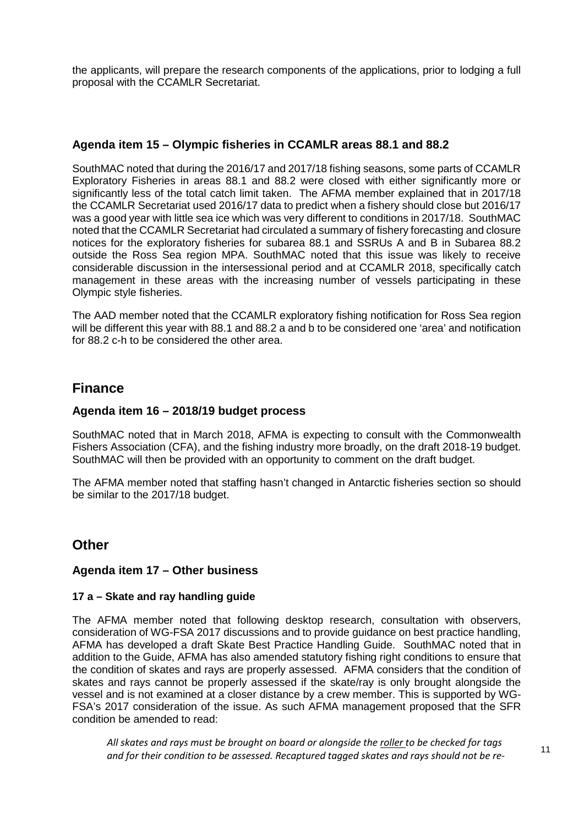the applicants, will prepare the research components of the applications, prior to lodging a full proposal with the CCAMLR Secretariat.

## **Agenda item 15 – Olympic fisheries in CCAMLR areas 88.1 and 88.2**

SouthMAC noted that during the 2016/17 and 2017/18 fishing seasons, some parts of CCAMLR Exploratory Fisheries in areas 88.1 and 88.2 were closed with either significantly more or significantly less of the total catch limit taken. The AFMA member explained that in 2017/18 the CCAMLR Secretariat used 2016/17 data to predict when a fishery should close but 2016/17 was a good year with little sea ice which was very different to conditions in 2017/18. SouthMAC noted that the CCAMLR Secretariat had circulated a summary of fishery forecasting and closure notices for the exploratory fisheries for subarea 88.1 and SSRUs A and B in Subarea 88.2 outside the Ross Sea region MPA. SouthMAC noted that this issue was likely to receive considerable discussion in the intersessional period and at CCAMLR 2018, specifically catch management in these areas with the increasing number of vessels participating in these Olympic style fisheries.

The AAD member noted that the CCAMLR exploratory fishing notification for Ross Sea region will be different this year with 88.1 and 88.2 a and b to be considered one 'area' and notification for 88.2 c-h to be considered the other area.

# **Finance**

#### **Agenda item 16 – 2018/19 budget process**

SouthMAC noted that in March 2018, AFMA is expecting to consult with the Commonwealth Fishers Association (CFA), and the fishing industry more broadly, on the draft 2018-19 budget. SouthMAC will then be provided with an opportunity to comment on the draft budget.

The AFMA member noted that staffing hasn't changed in Antarctic fisheries section so should be similar to the 2017/18 budget.

# **Other**

#### **Agenda item 17 – Other business**

#### **17 a – Skate and ray handling guide**

The AFMA member noted that following desktop research, consultation with observers, consideration of WG-FSA 2017 discussions and to provide guidance on best practice handling, AFMA has developed a draft Skate Best Practice Handling Guide. SouthMAC noted that in addition to the Guide, AFMA has also amended statutory fishing right conditions to ensure that the condition of skates and rays are properly assessed. AFMA considers that the condition of skates and rays cannot be properly assessed if the skate/ray is only brought alongside the vessel and is not examined at a closer distance by a crew member. This is supported by WG-FSA's 2017 consideration of the issue. As such AFMA management proposed that the SFR condition be amended to read:

*All skates and rays must be brought on board or alongside the roller to be checked for tags and for their condition to be assessed. Recaptured tagged skates and rays should not be re-*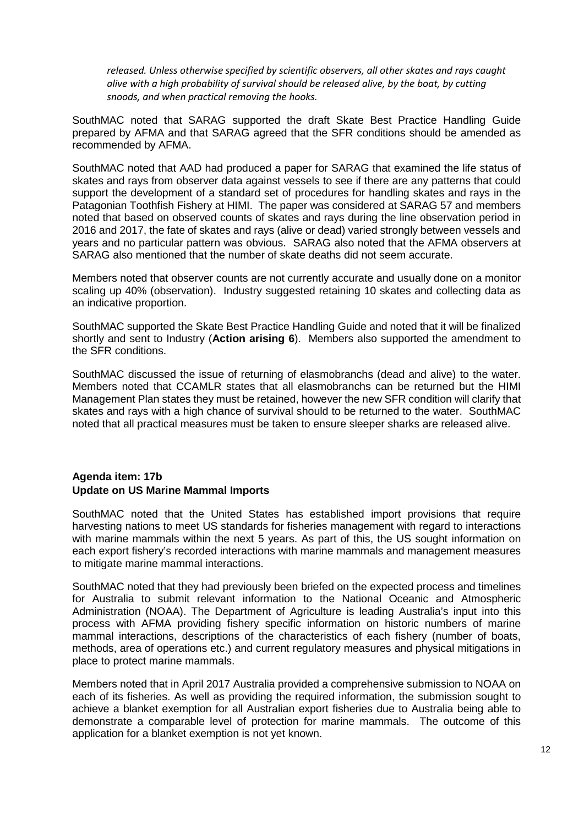*released. Unless otherwise specified by scientific observers, all other skates and rays caught alive with a high probability of survival should be released alive, by the boat, by cutting snoods, and when practical removing the hooks.*

SouthMAC noted that SARAG supported the draft Skate Best Practice Handling Guide prepared by AFMA and that SARAG agreed that the SFR conditions should be amended as recommended by AFMA.

SouthMAC noted that AAD had produced a paper for SARAG that examined the life status of skates and rays from observer data against vessels to see if there are any patterns that could support the development of a standard set of procedures for handling skates and rays in the Patagonian Toothfish Fishery at HIMI. The paper was considered at SARAG 57 and members noted that based on observed counts of skates and rays during the line observation period in 2016 and 2017, the fate of skates and rays (alive or dead) varied strongly between vessels and years and no particular pattern was obvious. SARAG also noted that the AFMA observers at SARAG also mentioned that the number of skate deaths did not seem accurate.

Members noted that observer counts are not currently accurate and usually done on a monitor scaling up 40% (observation). Industry suggested retaining 10 skates and collecting data as an indicative proportion.

SouthMAC supported the Skate Best Practice Handling Guide and noted that it will be finalized shortly and sent to Industry (**Action arising 6**). Members also supported the amendment to the SFR conditions.

SouthMAC discussed the issue of returning of elasmobranchs (dead and alive) to the water. Members noted that CCAMLR states that all elasmobranchs can be returned but the HIMI Management Plan states they must be retained, however the new SFR condition will clarify that skates and rays with a high chance of survival should to be returned to the water. SouthMAC noted that all practical measures must be taken to ensure sleeper sharks are released alive.

#### **Agenda item: 17b Update on US Marine Mammal Imports**

SouthMAC noted that the United States has established import provisions that require harvesting nations to meet US standards for fisheries management with regard to interactions with marine mammals within the next 5 years. As part of this, the US sought information on each export fishery's recorded interactions with marine mammals and management measures to mitigate marine mammal interactions.

SouthMAC noted that they had previously been briefed on the expected process and timelines for Australia to submit relevant information to the National Oceanic and Atmospheric Administration (NOAA). The Department of Agriculture is leading Australia's input into this process with AFMA providing fishery specific information on historic numbers of marine mammal interactions, descriptions of the characteristics of each fishery (number of boats, methods, area of operations etc.) and current regulatory measures and physical mitigations in place to protect marine mammals.

Members noted that in April 2017 Australia provided a comprehensive submission to NOAA on each of its fisheries. As well as providing the required information, the submission sought to achieve a blanket exemption for all Australian export fisheries due to Australia being able to demonstrate a comparable level of protection for marine mammals. The outcome of this application for a blanket exemption is not yet known.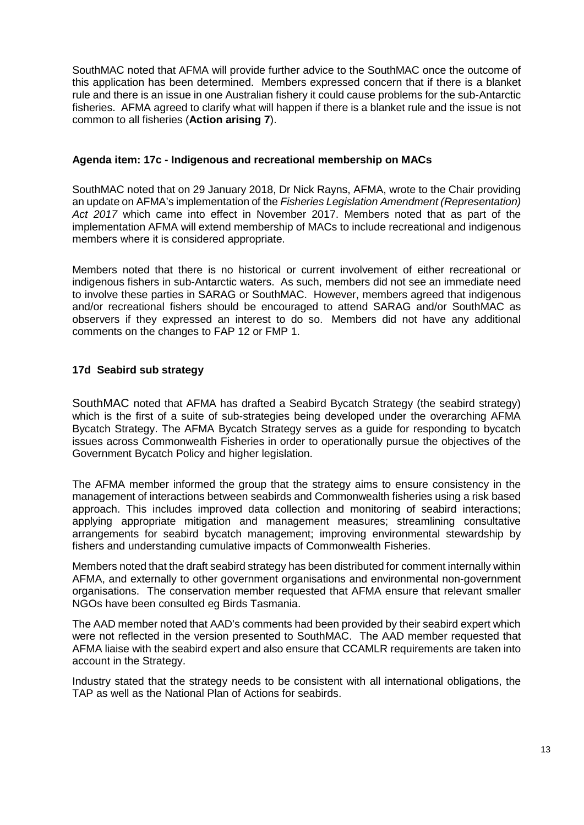SouthMAC noted that AFMA will provide further advice to the SouthMAC once the outcome of this application has been determined. Members expressed concern that if there is a blanket rule and there is an issue in one Australian fishery it could cause problems for the sub-Antarctic fisheries. AFMA agreed to clarify what will happen if there is a blanket rule and the issue is not common to all fisheries (**Action arising 7**).

#### **Agenda item: 17c - Indigenous and recreational membership on MACs**

SouthMAC noted that on 29 January 2018, Dr Nick Rayns, AFMA, wrote to the Chair providing an update on AFMA's implementation of the *Fisheries Legislation Amendment (Representation) Act 2017* which came into effect in November 2017. Members noted that as part of the implementation AFMA will extend membership of MACs to include recreational and indigenous members where it is considered appropriate.

Members noted that there is no historical or current involvement of either recreational or indigenous fishers in sub-Antarctic waters. As such, members did not see an immediate need to involve these parties in SARAG or SouthMAC. However, members agreed that indigenous and/or recreational fishers should be encouraged to attend SARAG and/or SouthMAC as observers if they expressed an interest to do so. Members did not have any additional comments on the changes to FAP 12 or FMP 1.

# **17d Seabird sub strategy**

SouthMAC noted that AFMA has drafted a Seabird Bycatch Strategy (the seabird strategy) which is the first of a suite of sub-strategies being developed under the overarching AFMA Bycatch Strategy. The AFMA Bycatch Strategy serves as a guide for responding to bycatch issues across Commonwealth Fisheries in order to operationally pursue the objectives of the Government Bycatch Policy and higher legislation.

The AFMA member informed the group that the strategy aims to ensure consistency in the management of interactions between seabirds and Commonwealth fisheries using a risk based approach. This includes improved data collection and monitoring of seabird interactions; applying appropriate mitigation and management measures; streamlining consultative arrangements for seabird bycatch management; improving environmental stewardship by fishers and understanding cumulative impacts of Commonwealth Fisheries.

Members noted that the draft seabird strategy has been distributed for comment internally within AFMA, and externally to other government organisations and environmental non-government organisations. The conservation member requested that AFMA ensure that relevant smaller NGOs have been consulted eg Birds Tasmania.

The AAD member noted that AAD's comments had been provided by their seabird expert which were not reflected in the version presented to SouthMAC. The AAD member requested that AFMA liaise with the seabird expert and also ensure that CCAMLR requirements are taken into account in the Strategy.

Industry stated that the strategy needs to be consistent with all international obligations, the TAP as well as the National Plan of Actions for seabirds.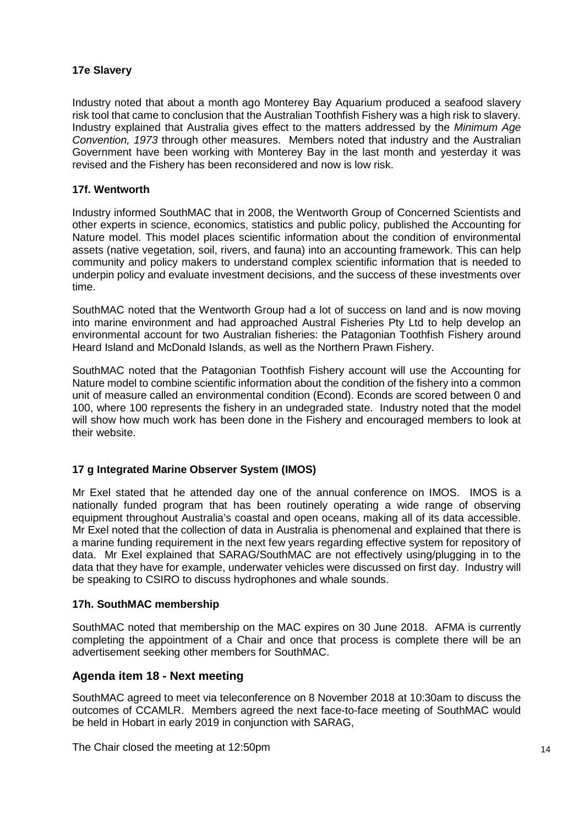#### **17e Slavery**

Industry noted that about a month ago Monterey Bay Aquarium produced a seafood slavery risk tool that came to conclusion that the Australian Toothfish Fishery was a high risk to slavery. Industry explained that Australia gives effect to the matters addressed by the *Minimum Age Convention, 1973* through other measures. Members noted that industry and the Australian Government have been working with Monterey Bay in the last month and yesterday it was revised and the Fishery has been reconsidered and now is low risk.

#### **17f. Wentworth**

Industry informed SouthMAC that in 2008, the Wentworth Group of Concerned Scientists and other experts in science, economics, statistics and public policy, published the Accounting for Nature model. This model places scientific information about the condition of environmental assets (native vegetation, soil, rivers, and fauna) into an accounting framework. This can help community and policy makers to understand complex scientific information that is needed to underpin policy and evaluate investment decisions, and the success of these investments over time.

SouthMAC noted that the Wentworth Group had a lot of success on land and is now moving into marine environment and had approached Austral Fisheries Pty Ltd to help develop an environmental account for two Australian fisheries: the Patagonian Toothfish Fishery around Heard Island and McDonald Islands, as well as the Northern Prawn Fishery.

SouthMAC noted that the Patagonian Toothfish Fishery account will use the Accounting for Nature model to combine scientific information about the condition of the fishery into a common unit of measure called an environmental condition (Econd). Econds are scored between 0 and 100, where 100 represents the fishery in an undegraded state. Industry noted that the model will show how much work has been done in the Fishery and encouraged members to look at their website.

#### **17 g Integrated Marine Observer System (IMOS)**

Mr Exel stated that he attended day one of the annual conference on IMOS. IMOS is a nationally funded program that has been routinely operating a wide range of observing equipment throughout Australia's coastal and open oceans, making all of its data accessible. Mr Exel noted that the collection of data in Australia is phenomenal and explained that there is a marine funding requirement in the next few years regarding effective system for repository of data. Mr Exel explained that SARAG/SouthMAC are not effectively using/plugging in to the data that they have for example, underwater vehicles were discussed on first day. Industry will be speaking to CSIRO to discuss hydrophones and whale sounds.

#### **17h. SouthMAC membership**

SouthMAC noted that membership on the MAC expires on 30 June 2018. AFMA is currently completing the appointment of a Chair and once that process is complete there will be an advertisement seeking other members for SouthMAC.

#### **Agenda item 18 - Next meeting**

SouthMAC agreed to meet via teleconference on 8 November 2018 at 10:30am to discuss the outcomes of CCAMLR. Members agreed the next face-to-face meeting of SouthMAC would be held in Hobart in early 2019 in conjunction with SARAG,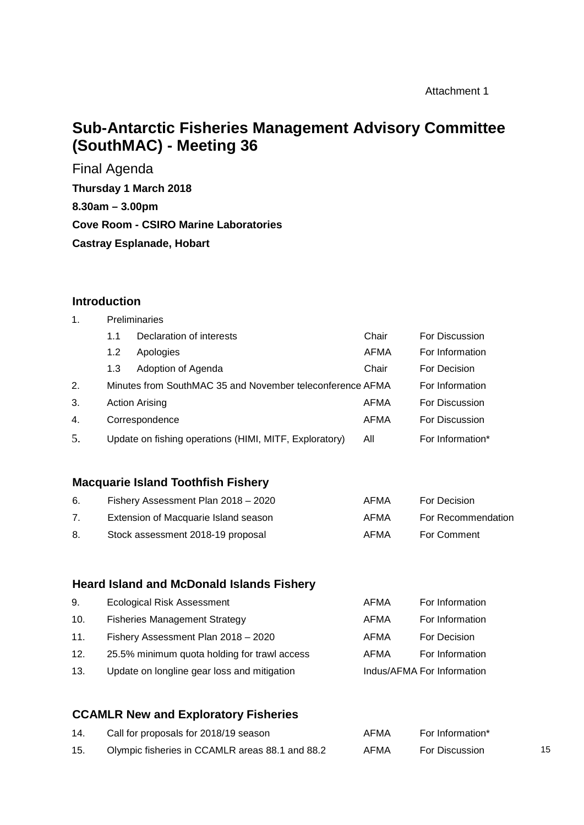# **Sub-Antarctic Fisheries Management Advisory Committee (SouthMAC) - Meeting 36**

Final Agenda **Thursday 1 March 2018 8.30am – 3.00pm Cove Room - CSIRO Marine Laboratories Castray Esplanade, Hobart**

# **Introduction**

| $\mathbf 1$ . | <b>Preliminaries</b> |                                                           |             |                  |
|---------------|----------------------|-----------------------------------------------------------|-------------|------------------|
|               | 1.1                  | Declaration of interests                                  | Chair       | For Discussion   |
|               | 1.2                  | Apologies                                                 | <b>AFMA</b> | For Information  |
|               | 1.3                  | Adoption of Agenda                                        | Chair       | For Decision     |
| 2.            |                      | Minutes from SouthMAC 35 and November teleconference AFMA |             | For Information  |
| 3.            |                      | <b>Action Arising</b>                                     | AFMA        | For Discussion   |
| 4.            |                      | Correspondence                                            | AFMA        | For Discussion   |
| 5.            |                      | Update on fishing operations (HIMI, MITF, Exploratory)    | All         | For Information* |

# **Macquarie Island Toothfish Fishery**

| 6. | Fishery Assessment Plan 2018 - 2020  | AFMA | For Decision       |
|----|--------------------------------------|------|--------------------|
|    | Extension of Macquarie Island season | AFMA | For Recommendation |
| 8. | Stock assessment 2018-19 proposal    | AFMA | For Comment        |

#### **Heard Island and McDonald Islands Fishery**

| 9.  | <b>Ecological Risk Assessment</b>            | AFMA | For Information            |
|-----|----------------------------------------------|------|----------------------------|
| 10. | <b>Fisheries Management Strategy</b>         | AFMA | For Information            |
| 11. | Fishery Assessment Plan 2018 - 2020          | AFMA | For Decision               |
| 12. | 25.5% minimum quota holding for trawl access | AFMA | For Information            |
| 13. | Update on longline gear loss and mitigation  |      | Indus/AFMA For Information |

# **CCAMLR New and Exploratory Fisheries**

| 14. | Call for proposals for 2018/19 season           | AFMA | For Information* |    |
|-----|-------------------------------------------------|------|------------------|----|
| 15. | Olympic fisheries in CCAMLR areas 88.1 and 88.2 | AFMA | For Discussion   | 15 |